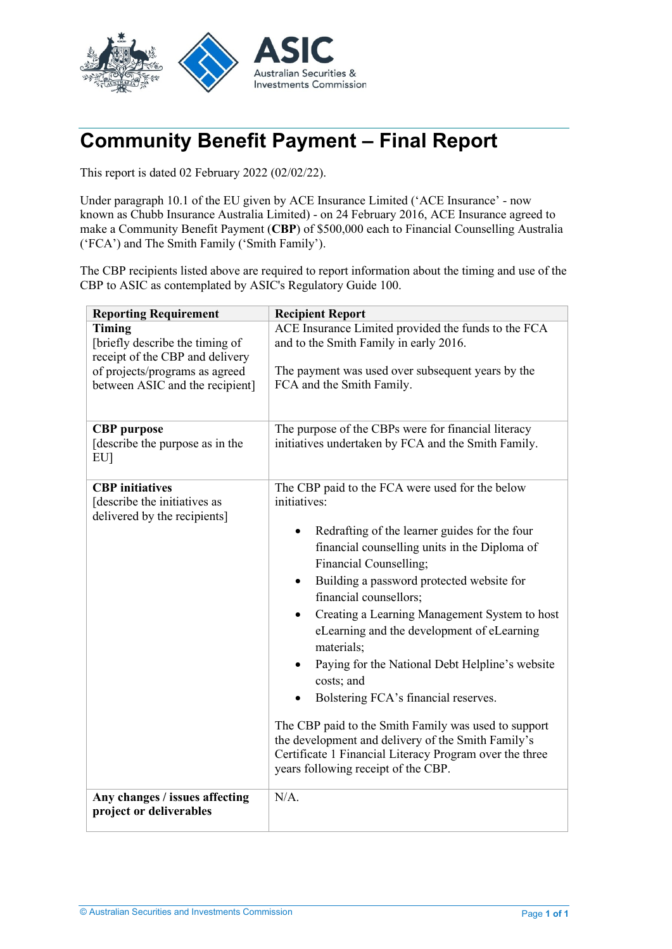

## **Community Benefit Payment – Final Report**

This report is dated 02 February 2022 (02/02/22).

Under paragraph 10.1 of the EU given by ACE Insurance Limited ('ACE Insurance' - now known as Chubb Insurance Australia Limited) - on 24 February 2016, ACE Insurance agreed to make a Community Benefit Payment (**CBP**) of \$500,000 each to Financial Counselling Australia ('FCA') and The Smith Family ('Smith Family').

The CBP recipients listed above are required to report information about the timing and use of the CBP to ASIC as contemplated by ASIC's Regulatory Guide 100.

| <b>Reporting Requirement</b>                                                           | <b>Recipient Report</b>                                                                                                                                                                                                                                                                                                                                                                                                                                                                                                                                                                                                                                                                                  |
|----------------------------------------------------------------------------------------|----------------------------------------------------------------------------------------------------------------------------------------------------------------------------------------------------------------------------------------------------------------------------------------------------------------------------------------------------------------------------------------------------------------------------------------------------------------------------------------------------------------------------------------------------------------------------------------------------------------------------------------------------------------------------------------------------------|
| Timing<br>[briefly describe the timing of<br>receipt of the CBP and delivery           | ACE Insurance Limited provided the funds to the FCA<br>and to the Smith Family in early 2016.                                                                                                                                                                                                                                                                                                                                                                                                                                                                                                                                                                                                            |
| of projects/programs as agreed<br>between ASIC and the recipient]                      | The payment was used over subsequent years by the<br>FCA and the Smith Family.                                                                                                                                                                                                                                                                                                                                                                                                                                                                                                                                                                                                                           |
| <b>CBP</b> purpose<br>[describe the purpose as in the<br>EU <sub>l</sub>               | The purpose of the CBPs were for financial literacy<br>initiatives undertaken by FCA and the Smith Family.                                                                                                                                                                                                                                                                                                                                                                                                                                                                                                                                                                                               |
| <b>CBP</b> initiatives<br>[describe the initiatives as<br>delivered by the recipients] | The CBP paid to the FCA were used for the below<br>initiatives:<br>Redrafting of the learner guides for the four<br>financial counselling units in the Diploma of<br>Financial Counselling;<br>Building a password protected website for<br>financial counsellors;<br>Creating a Learning Management System to host<br>eLearning and the development of eLearning<br>materials;<br>Paying for the National Debt Helpline's website<br>costs; and<br>Bolstering FCA's financial reserves.<br>The CBP paid to the Smith Family was used to support<br>the development and delivery of the Smith Family's<br>Certificate 1 Financial Literacy Program over the three<br>years following receipt of the CBP. |
| Any changes / issues affecting<br>project or deliverables                              | $N/A$ .                                                                                                                                                                                                                                                                                                                                                                                                                                                                                                                                                                                                                                                                                                  |